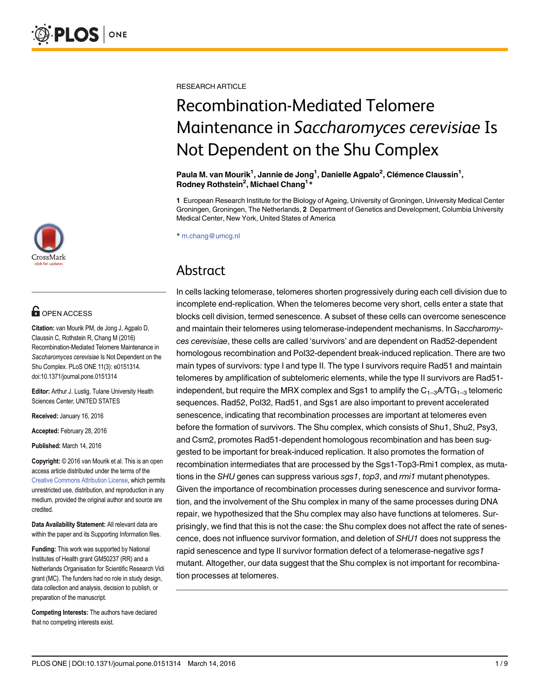

# **G** OPEN ACCESS

Citation: van Mourik PM, de Jong J, Agpalo D, Claussin C, Rothstein R, Chang M (2016) Recombination-Mediated Telomere Maintenance in Saccharomyces cerevisiae Is Not Dependent on the Shu Complex. PLoS ONE 11(3): e0151314. doi:10.1371/journal.pone.0151314

Editor: Arthur J. Lustig, Tulane University Health Sciences Center, UNITED STATES

Received: January 16, 2016

Accepted: February 28, 2016

Published: March 14, 2016

Copyright: © 2016 van Mourik et al. This is an open access article distributed under the terms of the [Creative Commons Attribution License,](http://creativecommons.org/licenses/by/4.0/) which permits unrestricted use, distribution, and reproduction in any medium, provided the original author and source are credited.

Data Availability Statement: All relevant data are within the paper and its Supporting Information files.

Funding: This work was supported by National Institutes of Health grant GM50237 (RR) and a Netherlands Organisation for Scientific Research Vidi grant (MC). The funders had no role in study design, data collection and analysis, decision to publish, or preparation of the manuscript.

Competing Interests: The authors have declared that no competing interests exist.

RESEARCH ARTICLE

# Recombination-Mediated Telomere Maintenance in Saccharomyces cerevisiae Is Not Dependent on the Shu Complex

Paula M. van Mourik<sup>1</sup>, Jannie de Jong<sup>1</sup>, Danielle Agpalo<sup>2</sup>, Clémence Claussin<sup>1</sup>, Rodney Rothstein<sup>2</sup>, Michael Chang<sup>1\*</sup>

1 European Research Institute for the Biology of Ageing, University of Groningen, University Medical Center Groningen, Groningen, The Netherlands, 2 Department of Genetics and Development, Columbia University Medical Center, New York, United States of America

\* m.chang@umcg.nl

# Abstract

In cells lacking telomerase, telomeres shorten progressively during each cell division due to incomplete end-replication. When the telomeres become very short, cells enter a state that blocks cell division, termed senescence. A subset of these cells can overcome senescence and maintain their telomeres using telomerase-independent mechanisms. In Saccharomyces cerevisiae, these cells are called 'survivors' and are dependent on Rad52-dependent homologous recombination and Pol32-dependent break-induced replication. There are two main types of survivors: type I and type II. The type I survivors require Rad51 and maintain telomeres by amplification of subtelomeric elements, while the type II survivors are Rad51 independent, but require the MRX complex and Sqs1 to amplify the  $C_{1-3}$ A/TG<sub>1–3</sub> telomeric sequences. Rad52, Pol32, Rad51, and Sgs1 are also important to prevent accelerated senescence, indicating that recombination processes are important at telomeres even before the formation of survivors. The Shu complex, which consists of Shu1, Shu2, Psy3, and Csm2, promotes Rad51-dependent homologous recombination and has been suggested to be important for break-induced replication. It also promotes the formation of recombination intermediates that are processed by the Sgs1-Top3-Rmi1 complex, as mutations in the SHU genes can suppress various sgs1, top3, and *rmi1* mutant phenotypes. Given the importance of recombination processes during senescence and survivor formation, and the involvement of the Shu complex in many of the same processes during DNA repair, we hypothesized that the Shu complex may also have functions at telomeres. Surprisingly, we find that this is not the case: the Shu complex does not affect the rate of senescence, does not influence survivor formation, and deletion of SHU1 does not suppress the rapid senescence and type II survivor formation defect of a telomerase-negative sgs1 mutant. Altogether, our data suggest that the Shu complex is not important for recombination processes at telomeres.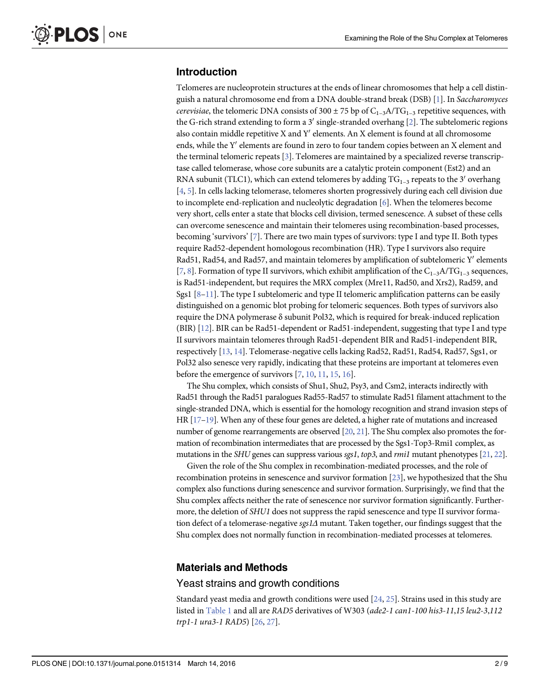# <span id="page-1-0"></span>Introduction

Telomeres are nucleoprotein structures at the ends of linear chromosomes that help a cell distinguish a natural chromosome end from a DNA double-strand break (DSB) [[1](#page-7-0)]. In Saccharomyces cerevisiae, the telomeric DNA consists of 300  $\pm$  75 bp of C<sub>1-3</sub>A/TG<sub>1-3</sub> repetitive sequences, with the G-rich strand extending to form a 3' single-stranded overhang  $[2]$  $[2]$ . The subtelomeric regions also contain middle repetitive X and Y' elements. An X element is found at all chromosome ends, while the Y' elements are found in zero to four tandem copies between an X element and the terminal telomeric repeats [[3\]](#page-7-0). Telomeres are maintained by a specialized reverse transcriptase called telomerase, whose core subunits are a catalytic protein component (Est2) and an RNA subunit (TLC1), which can extend telomeres by adding  $TG_{1-3}$  repeats to the 3<sup>'</sup> overhang [\[4](#page-7-0), [5](#page-7-0)]. In cells lacking telomerase, telomeres shorten progressively during each cell division due to incomplete end-replication and nucleolytic degradation [[6](#page-7-0)]. When the telomeres become very short, cells enter a state that blocks cell division, termed senescence. A subset of these cells can overcome senescence and maintain their telomeres using recombination-based processes, becoming 'survivors' [[7\]](#page-7-0). There are two main types of survivors: type I and type II. Both types require Rad52-dependent homologous recombination (HR). Type I survivors also require Rad51, Rad54, and Rad57, and maintain telomeres by amplification of subtelomeric  $Y'$  elements [ $\mathbb{Z}, \mathbb{S}$ ]. Formation of type II survivors, which exhibit amplification of the C<sub>1–3</sub>A/TG<sub>1–3</sub> sequences, is Rad51-independent, but requires the MRX complex (Mre11, Rad50, and Xrs2), Rad59, and Sgs1  $[8-11]$  $[8-11]$  $[8-11]$  $[8-11]$ . The type I subtelomeric and type II telomeric amplification patterns can be easily distinguished on a genomic blot probing for telomeric sequences. Both types of survivors also require the DNA polymerase δ subunit Pol32, which is required for break-induced replication (BIR) [[12](#page-7-0)]. BIR can be Rad51-dependent or Rad51-independent, suggesting that type I and type II survivors maintain telomeres through Rad51-dependent BIR and Rad51-independent BIR, respectively [\[13](#page-7-0), [14\]](#page-7-0). Telomerase-negative cells lacking Rad52, Rad51, Rad54, Rad57, Sgs1, or Pol32 also senesce very rapidly, indicating that these proteins are important at telomeres even before the emergence of survivors  $[7, 10, 11, 15, 16]$  $[7, 10, 11, 15, 16]$  $[7, 10, 11, 15, 16]$  $[7, 10, 11, 15, 16]$  $[7, 10, 11, 15, 16]$  $[7, 10, 11, 15, 16]$  $[7, 10, 11, 15, 16]$  $[7, 10, 11, 15, 16]$  $[7, 10, 11, 15, 16]$  $[7, 10, 11, 15, 16]$ .

The Shu complex, which consists of Shu1, Shu2, Psy3, and Csm2, interacts indirectly with Rad51 through the Rad51 paralogues Rad55-Rad57 to stimulate Rad51 filament attachment to the single-stranded DNA, which is essential for the homology recognition and strand invasion steps of HR  $[17-19]$  $[17-19]$  $[17-19]$  $[17-19]$ . When any of these four genes are deleted, a higher rate of mutations and increased number of genome rearrangements are observed [\[20](#page-8-0), [21\]](#page-8-0). The Shu complex also promotes the formation of recombination intermediates that are processed by the Sgs1-Top3-Rmi1 complex, as mutations in the SHU genes can suppress various sgs1, top3, and rmi1 mutant phenotypes  $[21, 22]$  $[21, 22]$  $[21, 22]$ .

Given the role of the Shu complex in recombination-mediated processes, and the role of recombination proteins in senescence and survivor formation [[23\]](#page-8-0), we hypothesized that the Shu complex also functions during senescence and survivor formation. Surprisingly, we find that the Shu complex affects neither the rate of senescence nor survivor formation significantly. Furthermore, the deletion of SHU1 does not suppress the rapid senescence and type II survivor formation defect of a telomerase-negative sgs1Δ mutant. Taken together, our findings suggest that the Shu complex does not normally function in recombination-mediated processes at telomeres.

# Materials and Methods

## Yeast strains and growth conditions

Standard yeast media and growth conditions were used [[24](#page-8-0), [25](#page-8-0)]. Strains used in this study are listed in [Table 1](#page-2-0) and all are RAD5 derivatives of W303 (ade2-1 can1-100 his3-11,15 leu2-3,112 trp1-1 ura3-1 RAD5) [\[26](#page-8-0), [27](#page-8-0)].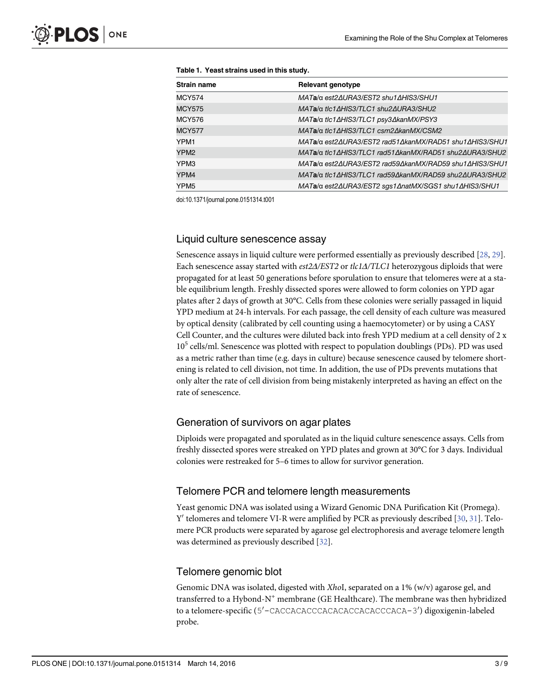| <b>Strain name</b> | Relevant genotype                                      |
|--------------------|--------------------------------------------------------|
| <b>MCY574</b>      | MATa/α est2ΔURA3/EST2 shu1ΔHIS3/SHU1                   |
| <b>MCY575</b>      | MATa/α tlc1ΔHIS3/TLC1 shu2ΔURA3/SHU2                   |
| <b>MCY576</b>      | MATa/α tlc1ΔHIS3/TLC1 psy3ΔkanMX/PSY3                  |
| <b>MCY577</b>      | MATa/α t/c1ΔHIS3/TLC1 csm2ΔkanMX/CSM2                  |
| YPM1               | MATa/α est2ΔURA3/EST2 rad51ΔkanMX/RAD51 shu1ΔHIS3/SHU1 |
| YPM <sub>2</sub>   | MATa/α tlc1ΔHIS3/TLC1 rad51ΔkanMX/RAD51 shu2ΔURA3/SHU2 |
| YPM3               | MATa/α est2ΔURA3/EST2 rad59ΔkanMX/RAD59 shu1ΔHIS3/SHU1 |
| YPM4               | MATa/α tlc1ΔHIS3/TLC1 rad59ΔkanMX/RAD59 shu2ΔURA3/SHU2 |
| YPM <sub>5</sub>   | MATa/α est2ΔURA3/EST2 sgs1ΔnatMX/SGS1 shu1ΔHIS3/SHU1   |

<span id="page-2-0"></span>[Table 1.](#page-1-0) Yeast strains used in this study.

doi:10.1371/journal.pone.0151314.t001

#### Liquid culture senescence assay

Senescence assays in liquid culture were performed essentially as previously described [\[28,](#page-8-0) [29\]](#page-8-0). Each senescence assay started with est2Δ/EST2 or tlc1Δ/TLC1 heterozygous diploids that were propagated for at least 50 generations before sporulation to ensure that telomeres were at a stable equilibrium length. Freshly dissected spores were allowed to form colonies on YPD agar plates after 2 days of growth at 30°C. Cells from these colonies were serially passaged in liquid YPD medium at 24-h intervals. For each passage, the cell density of each culture was measured by optical density (calibrated by cell counting using a haemocytometer) or by using a CASY Cell Counter, and the cultures were diluted back into fresh YPD medium at a cell density of 2 x 105 cells/ml. Senescence was plotted with respect to population doublings (PDs). PD was used as a metric rather than time (e.g. days in culture) because senescence caused by telomere shortening is related to cell division, not time. In addition, the use of PDs prevents mutations that only alter the rate of cell division from being mistakenly interpreted as having an effect on the rate of senescence.

#### Generation of survivors on agar plates

Diploids were propagated and sporulated as in the liquid culture senescence assays. Cells from freshly dissected spores were streaked on YPD plates and grown at 30°C for 3 days. Individual colonies were restreaked for 5–6 times to allow for survivor generation.

# Telomere PCR and telomere length measurements

Yeast genomic DNA was isolated using a Wizard Genomic DNA Purification Kit (Promega).  $Y'$  telomeres and telomere VI-R were amplified by PCR as previously described [\[30,](#page-8-0) [31\]](#page-8-0). Telomere PCR products were separated by agarose gel electrophoresis and average telomere length was determined as previously described [\[32\]](#page-8-0).

#### Telomere genomic blot

Genomic DNA was isolated, digested with XhoI, separated on a  $1\%$  (w/v) agarose gel, and transferred to a Hybond-N<sup>+</sup> membrane (GE Healthcare). The membrane was then hybridized to a telomere-specific (5′–CACCACACCCACACACCACACCCACA–3′) digoxigenin-labeled probe.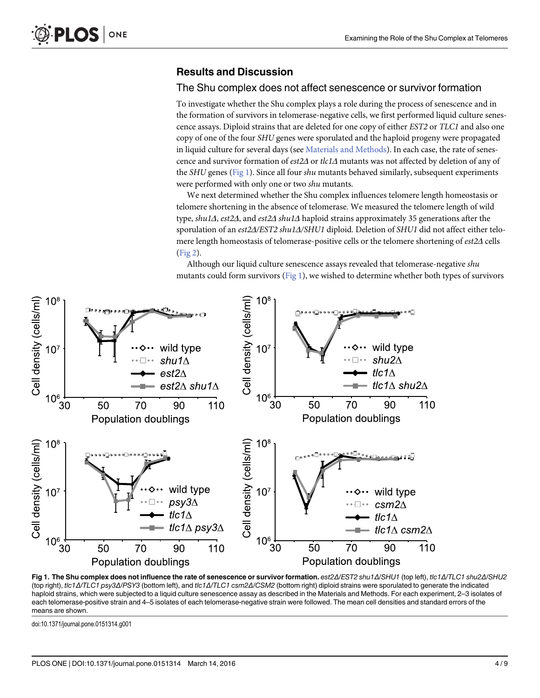# <span id="page-3-0"></span>Results and Discussion

#### The Shu complex does not affect senescence or survivor formation

To investigate whether the Shu complex plays a role during the process of senescence and in the formation of survivors in telomerase-negative cells, we first performed liquid culture senescence assays. Diploid strains that are deleted for one copy of either EST2 or TLC1 and also one copy of one of the four SHU genes were sporulated and the haploid progeny were propagated in liquid culture for several days (see [Materials and Methods](#page-1-0)). In each case, the rate of senescence and survivor formation of est2Δ or tlc1Δ mutants was not affected by deletion of any of the SHU genes (Fig 1). Since all four shu mutants behaved similarly, subsequent experiments were performed with only one or two shu mutants.

We next determined whether the Shu complex influences telomere length homeostasis or telomere shortening in the absence of telomerase. We measured the telomere length of wild type, shu1Δ, est2Δ, and est2Δ shu1Δ haploid strains approximately 35 generations after the sporulation of an est2Δ/EST2 shu1Δ/SHU1 diploid. Deletion of SHU1 did not affect either telomere length homeostasis of telomerase-positive cells or the telomere shortening of est2Δ cells [\(Fig 2\)](#page-4-0).

Although our liquid culture senescence assays revealed that telomerase-negative shu mutants could form survivors (Fig 1), we wished to determine whether both types of survivors



Fig 1. The Shu complex does not influence the rate of senescence or survivor formation. est2Δ/EST2 shu1Δ/SHU1 (top left), tlc1Δ/TLC1 shu2Δ/SHU2 (top right), tlc1Δ/TLC1 psy3Δ/PSY3 (bottom left), and tlc1Δ/TLC1 csm2Δ/CSM2 (bottom right) diploid strains were sporulated to generate the indicated haploid strains, which were subjected to a liquid culture senescence assay as described in the Materials and Methods. For each experiment, 2-3 isolates of each telomerase-positive strain and 4–5 isolates of each telomerase-negative strain were followed. The mean cell densities and standard errors of the means are shown.

doi:10.1371/journal.pone.0151314.g001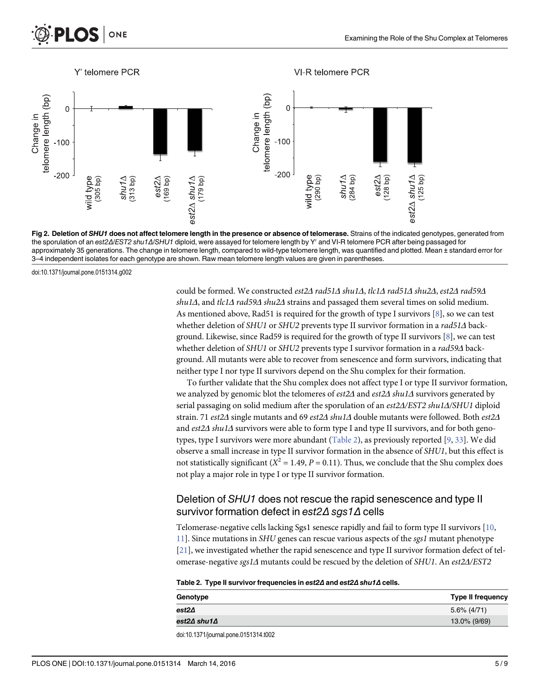<span id="page-4-0"></span>



[Fig 2. D](#page-3-0)eletion of SHU1 does not affect telomere length in the presence or absence of telomerase. Strains of the indicated genotypes, generated from the sporulation of an est2Δ/EST2 shu1Δ/SHU1 diploid, were assayed for telomere length by Y' and VI-R telomere PCR after being passaged for approximately 35 generations. The change in telomere length, compared to wild-type telomere length, was quantified and plotted. Mean ± standard error for 3–4 independent isolates for each genotype are shown. Raw mean telomere length values are given in parentheses.

doi:10.1371/journal.pone.0151314.g002

could be formed. We constructed est2Δ rad51Δ shu1Δ, tlc1Δ rad51Δ shu2Δ, est2Δ rad59Δ shu1 $\Delta$ , and tlc1 $\Delta$  rad59 $\Delta$  shu2 $\Delta$  strains and passaged them several times on solid medium. As mentioned above, Rad51 is required for the growth of type I survivors  $[8]$  $[8]$ , so we can test whether deletion of SHU1 or SHU2 prevents type II survivor formation in a rad51Δ background. Likewise, since Rad59 is required for the growth of type II survivors  $[8]$  $[8]$ , we can test whether deletion of SHU1 or SHU2 prevents type I survivor formation in a rad59Δ background. All mutants were able to recover from senescence and form survivors, indicating that neither type I nor type II survivors depend on the Shu complex for their formation.

To further validate that the Shu complex does not affect type I or type II survivor formation, we analyzed by genomic blot the telomeres of  $est2\Delta$  and  $est2\Delta$  shul $\Delta$  survivors generated by serial passaging on solid medium after the sporulation of an est2Δ/EST2 shu1Δ/SHU1 diploid strain. 71 est2Δ single mutants and 69 est2Δ shu1Δ double mutants were followed. Both est2Δ and est2Δ shu1Δ survivors were able to form type I and type II survivors, and for both genotypes, type I survivors were more abundant (Table 2), as previously reported [ $\frac{9}{3}$ , We did observe a small increase in type II survivor formation in the absence of SHU1, but this effect is not statistically significant ( $X^2 = 1.49$ ,  $P = 0.11$ ). Thus, we conclude that the Shu complex does not play a major role in type I or type II survivor formation.

# Deletion of SHU1 does not rescue the rapid senescence and type II survivor formation defect in est2Δ sgs1Δ cells

Telomerase-negative cells lacking Sgs1 senesce rapidly and fail to form type II survivors [[10](#page-7-0), [11\]](#page-7-0). Since mutations in SHU genes can rescue various aspects of the sgs1 mutant phenotype [\[21](#page-8-0)], we investigated whether the rapid senescence and type II survivor formation defect of telomerase-negative sgs1Δ mutants could be rescued by the deletion of SHU1. An est2Δ/EST2

| Table 2. Type II survivor frequencies in est24 and est24 shu14 cells. |
|-----------------------------------------------------------------------|
|                                                                       |

| Genotype    | <b>Type II frequency</b> |
|-------------|--------------------------|
| est2∆       | 5.6% (4/71)              |
| est2∆ shu1∆ | 13.0% (9/69)             |
|             |                          |

doi:10.1371/journal.pone.0151314.t002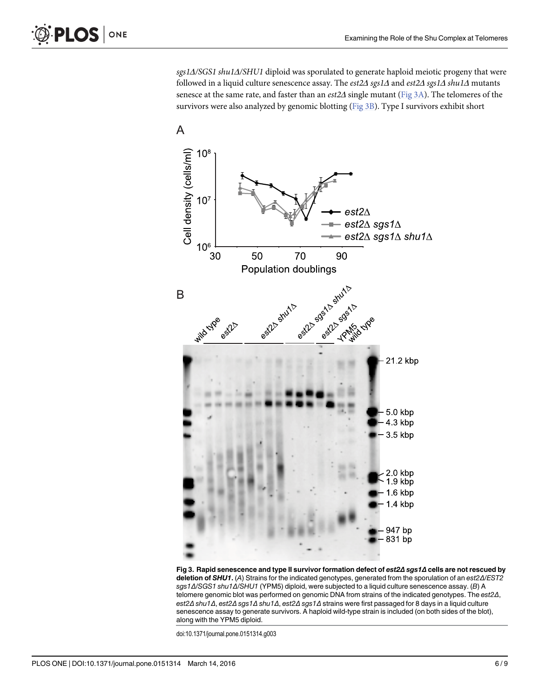sgs1Δ/SGS1 shu1Δ/SHU1 diploid was sporulated to generate haploid meiotic progeny that were followed in a liquid culture senescence assay. The est2Δ sgs1Δ and est2Δ sgs1Δ shu1Δ mutants senesce at the same rate, and faster than an est2∆ single mutant (Fig 3A). The telomeres of the survivors were also analyzed by genomic blotting (Fig 3B). Type I survivors exhibit short



Fig 3. Rapid senescence and type II survivor formation defect of est2Δ sgs1Δ cells are not rescued by deletion of SHU1. (A) Strains for the indicated genotypes, generated from the sporulation of an est2Δ/EST2 sgs1Δ/SGS1 shu1Δ/SHU1 (YPM5) diploid, were subjected to a liquid culture senescence assay. (B) A telomere genomic blot was performed on genomic DNA from strains of the indicated genotypes. The est2Δ, est2Δ shu1Δ, est2Δ sgs1Δ shu1Δ, est2Δ sgs1Δ strains were first passaged for 8 days in a liquid culture senescence assay to generate survivors. A haploid wild-type strain is included (on both sides of the blot), along with the YPM5 diploid.

doi:10.1371/journal.pone.0151314.g003

<span id="page-5-0"></span>**PLOS** ONE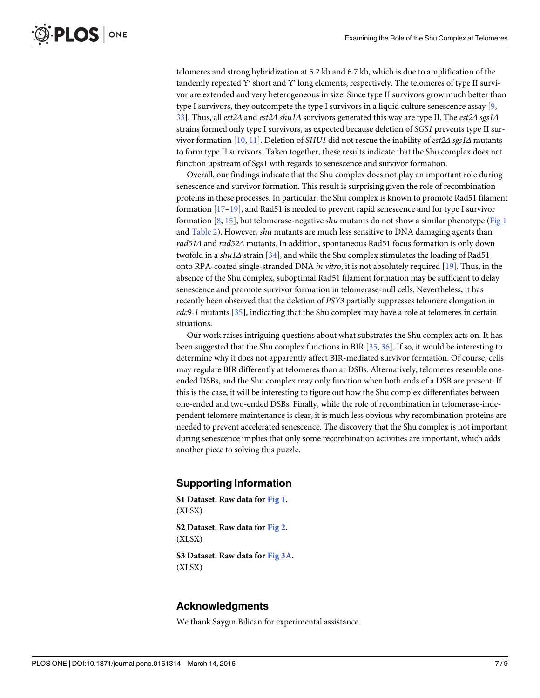<span id="page-6-0"></span>telomeres and strong hybridization at 5.2 kb and 6.7 kb, which is due to amplification of the tandemly repeated  $Y'$  short and  $Y'$  long elements, respectively. The telomeres of type II survivor are extended and very heterogeneous in size. Since type II survivors grow much better than type I survivors, they outcompete the type I survivors in a liquid culture senescence assay [[9](#page-7-0), [33\]](#page-8-0). Thus, all est2Δ and est2Δ shu1Δ survivors generated this way are type II. The est2Δ sgs1Δ strains formed only type I survivors, as expected because deletion of SGS1 prevents type II survivor formation  $[10, 11]$  $[10, 11]$  $[10, 11]$ . Deletion of SHU1 did not rescue the inability of est2 $\Delta$  sgs1 $\Delta$  mutants to form type II survivors. Taken together, these results indicate that the Shu complex does not function upstream of Sgs1 with regards to senescence and survivor formation.

Overall, our findings indicate that the Shu complex does not play an important role during senescence and survivor formation. This result is surprising given the role of recombination proteins in these processes. In particular, the Shu complex is known to promote Rad51 filament formation [[17](#page-7-0)–[19](#page-7-0)], and Rad51 is needed to prevent rapid senescence and for type I survivor formation [[8,](#page-7-0) [15\]](#page-7-0), but telomerase-negative *shu* mutants do not show a similar phenotype [\(Fig 1](#page-3-0)) and [Table 2](#page-4-0)). However, shu mutants are much less sensitive to DNA damaging agents than rad51Δ and rad52Δ mutants. In addition, spontaneous Rad51 focus formation is only down twofold in a shu1 $\Delta$  strain [\[34](#page-8-0)], and while the Shu complex stimulates the loading of Rad51 onto RPA-coated single-stranded DNA in vitro, it is not absolutely required [[19](#page-7-0)]. Thus, in the absence of the Shu complex, suboptimal Rad51 filament formation may be sufficient to delay senescence and promote survivor formation in telomerase-null cells. Nevertheless, it has recently been observed that the deletion of PSY3 partially suppresses telomere elongation in cdc9-1 mutants [[35\]](#page-8-0), indicating that the Shu complex may have a role at telomeres in certain situations.

Our work raises intriguing questions about what substrates the Shu complex acts on. It has been suggested that the Shu complex functions in BIR [\[35](#page-8-0), [36\]](#page-8-0). If so, it would be interesting to determine why it does not apparently affect BIR-mediated survivor formation. Of course, cells may regulate BIR differently at telomeres than at DSBs. Alternatively, telomeres resemble oneended DSBs, and the Shu complex may only function when both ends of a DSB are present. If this is the case, it will be interesting to figure out how the Shu complex differentiates between one-ended and two-ended DSBs. Finally, while the role of recombination in telomerase-independent telomere maintenance is clear, it is much less obvious why recombination proteins are needed to prevent accelerated senescence. The discovery that the Shu complex is not important during senescence implies that only some recombination activities are important, which adds another piece to solving this puzzle.

## Supporting Information

[S1 Dataset.](http://www.plosone.org/article/fetchSingleRepresentation.action?uri=info:doi/10.1371/journal.pone.0151314.s001) Raw data for [Fig 1.](#page-3-0) (XLSX) [S2 Dataset.](http://www.plosone.org/article/fetchSingleRepresentation.action?uri=info:doi/10.1371/journal.pone.0151314.s002) Raw data for [Fig 2.](#page-4-0) (XLSX)

[S3 Dataset.](http://www.plosone.org/article/fetchSingleRepresentation.action?uri=info:doi/10.1371/journal.pone.0151314.s003) Raw data for [Fig 3A.](#page-5-0) (XLSX)

## Acknowledgments

We thank Saygın Bilican for experimental assistance.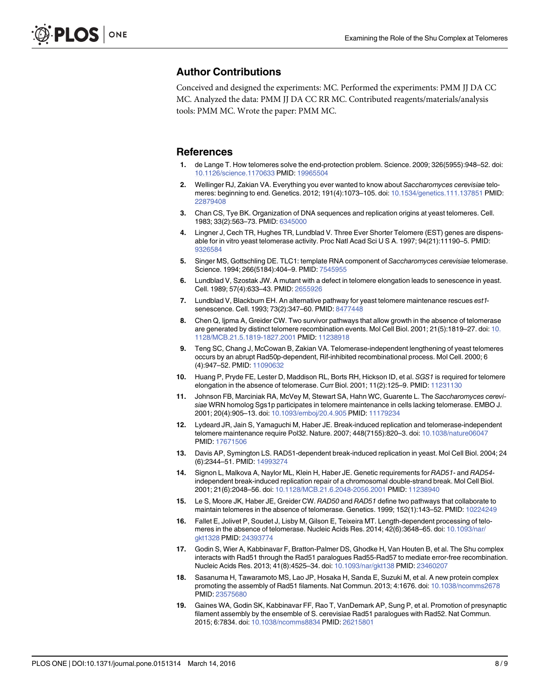# <span id="page-7-0"></span>Author Contributions

Conceived and designed the experiments: MC. Performed the experiments: PMM JJ DA CC MC. Analyzed the data: PMM JJ DA CC RR MC. Contributed reagents/materials/analysis tools: PMM MC. Wrote the paper: PMM MC.

#### References

- [1.](#page-1-0) de Lange T. How telomeres solve the end-protection problem. Science. 2009; 326(5955):948–52. doi: [10.1126/science.1170633](http://dx.doi.org/10.1126/science.1170633) PMID: [19965504](http://www.ncbi.nlm.nih.gov/pubmed/19965504)
- [2.](#page-1-0) Wellinger RJ, Zakian VA. Everything you ever wanted to know about Saccharomyces cerevisiae telomeres: beginning to end. Genetics. 2012; 191(4):1073–105. doi: [10.1534/genetics.111.137851](http://dx.doi.org/10.1534/genetics.111.137851) PMID: [22879408](http://www.ncbi.nlm.nih.gov/pubmed/22879408)
- [3.](#page-1-0) Chan CS, Tye BK. Organization of DNA sequences and replication origins at yeast telomeres. Cell. 1983; 33(2):563–73. PMID: [6345000](http://www.ncbi.nlm.nih.gov/pubmed/6345000)
- [4.](#page-1-0) Lingner J, Cech TR, Hughes TR, Lundblad V. Three Ever Shorter Telomere (EST) genes are dispensable for in vitro yeast telomerase activity. Proc Natl Acad Sci U S A. 1997; 94(21):11190–5. PMID: [9326584](http://www.ncbi.nlm.nih.gov/pubmed/9326584)
- [5.](#page-1-0) Singer MS, Gottschling DE. TLC1: template RNA component of Saccharomyces cerevisiae telomerase. Science. 1994; 266(5184):404–9. PMID: [7545955](http://www.ncbi.nlm.nih.gov/pubmed/7545955)
- [6.](#page-1-0) Lundblad V, Szostak JW. A mutant with a defect in telomere elongation leads to senescence in yeast. Cell. 1989; 57(4):633–43. PMID: [2655926](http://www.ncbi.nlm.nih.gov/pubmed/2655926)
- [7.](#page-1-0) Lundblad V, Blackburn EH. An alternative pathway for yeast telomere maintenance rescues est1senescence. Cell. 1993; 73(2):347–60. PMID: [8477448](http://www.ncbi.nlm.nih.gov/pubmed/8477448)
- [8.](#page-1-0) Chen Q, Ijpma A, Greider CW. Two survivor pathways that allow growth in the absence of telomerase are generated by distinct telomere recombination events. Mol Cell Biol. 2001; 21(5):1819–27. doi: [10.](http://dx.doi.org/10.1128/MCB.21.5.1819-1827.2001) [1128/MCB.21.5.1819-1827.2001](http://dx.doi.org/10.1128/MCB.21.5.1819-1827.2001) PMID: [11238918](http://www.ncbi.nlm.nih.gov/pubmed/11238918)
- [9.](#page-4-0) Teng SC, Chang J, McCowan B, Zakian VA. Telomerase-independent lengthening of yeast telomeres occurs by an abrupt Rad50p-dependent, Rif-inhibited recombinational process. Mol Cell. 2000; 6 (4):947-52. PMID: [11090632](http://www.ncbi.nlm.nih.gov/pubmed/11090632)
- [10.](#page-1-0) Huang P, Pryde FE, Lester D, Maddison RL, Borts RH, Hickson ID, et al. SGS1 is required for telomere elongation in the absence of telomerase. Curr Biol. 2001; 11(2):125–9. PMID: [11231130](http://www.ncbi.nlm.nih.gov/pubmed/11231130)
- [11.](#page-1-0) Johnson FB, Marciniak RA, McVey M, Stewart SA, Hahn WC, Guarente L. The Saccharomyces cerevisiae WRN homolog Sgs1p participates in telomere maintenance in cells lacking telomerase. EMBO J. 2001; 20(4):905–13. doi: [10.1093/emboj/20.4.905](http://dx.doi.org/10.1093/emboj/20.4.905) PMID: [11179234](http://www.ncbi.nlm.nih.gov/pubmed/11179234)
- [12.](#page-1-0) Lydeard JR, Jain S, Yamaguchi M, Haber JE. Break-induced replication and telomerase-independent telomere maintenance require Pol32. Nature. 2007; 448(7155):820–3. doi: [10.1038/nature06047](http://dx.doi.org/10.1038/nature06047) PMID: [17671506](http://www.ncbi.nlm.nih.gov/pubmed/17671506)
- [13.](#page-1-0) Davis AP, Symington LS. RAD51-dependent break-induced replication in yeast. Mol Cell Biol. 2004; 24 (6):2344–51. PMID: [14993274](http://www.ncbi.nlm.nih.gov/pubmed/14993274)
- [14.](#page-1-0) Signon L, Malkova A, Naylor ML, Klein H, Haber JE. Genetic requirements for RAD51- and RAD54independent break-induced replication repair of a chromosomal double-strand break. Mol Cell Biol. 2001; 21(6):2048–56. doi: [10.1128/MCB.21.6.2048-2056.2001](http://dx.doi.org/10.1128/MCB.21.6.2048-2056.2001) PMID: [11238940](http://www.ncbi.nlm.nih.gov/pubmed/11238940)
- [15.](#page-1-0) Le S, Moore JK, Haber JE, Greider CW. RAD50 and RAD51 define two pathways that collaborate to maintain telomeres in the absence of telomerase. Genetics. 1999; 152(1):143–52. PMID: [10224249](http://www.ncbi.nlm.nih.gov/pubmed/10224249)
- [16.](#page-1-0) Fallet E, Jolivet P, Soudet J, Lisby M, Gilson E, Teixeira MT. Length-dependent processing of telomeres in the absence of telomerase. Nucleic Acids Res. 2014; 42(6):3648–65. doi: [10.1093/nar/](http://dx.doi.org/10.1093/nar/gkt1328) [gkt1328](http://dx.doi.org/10.1093/nar/gkt1328) PMID: [24393774](http://www.ncbi.nlm.nih.gov/pubmed/24393774)
- [17.](#page-1-0) Godin S, Wier A, Kabbinavar F, Bratton-Palmer DS, Ghodke H, Van Houten B, et al. The Shu complex interacts with Rad51 through the Rad51 paralogues Rad55-Rad57 to mediate error-free recombination. Nucleic Acids Res. 2013; 41(8):4525–34. doi: [10.1093/nar/gkt138](http://dx.doi.org/10.1093/nar/gkt138) PMID: [23460207](http://www.ncbi.nlm.nih.gov/pubmed/23460207)
- 18. Sasanuma H, Tawaramoto MS, Lao JP, Hosaka H, Sanda E, Suzuki M, et al. A new protein complex promoting the assembly of Rad51 filaments. Nat Commun. 2013; 4:1676. doi: [10.1038/ncomms2678](http://dx.doi.org/10.1038/ncomms2678) PMID: [23575680](http://www.ncbi.nlm.nih.gov/pubmed/23575680)
- [19.](#page-1-0) Gaines WA, Godin SK, Kabbinavar FF, Rao T, VanDemark AP, Sung P, et al. Promotion of presynaptic filament assembly by the ensemble of S. cerevisiae Rad51 paralogues with Rad52. Nat Commun. 2015; 6:7834. doi: [10.1038/ncomms8834](http://dx.doi.org/10.1038/ncomms8834) PMID: [26215801](http://www.ncbi.nlm.nih.gov/pubmed/26215801)